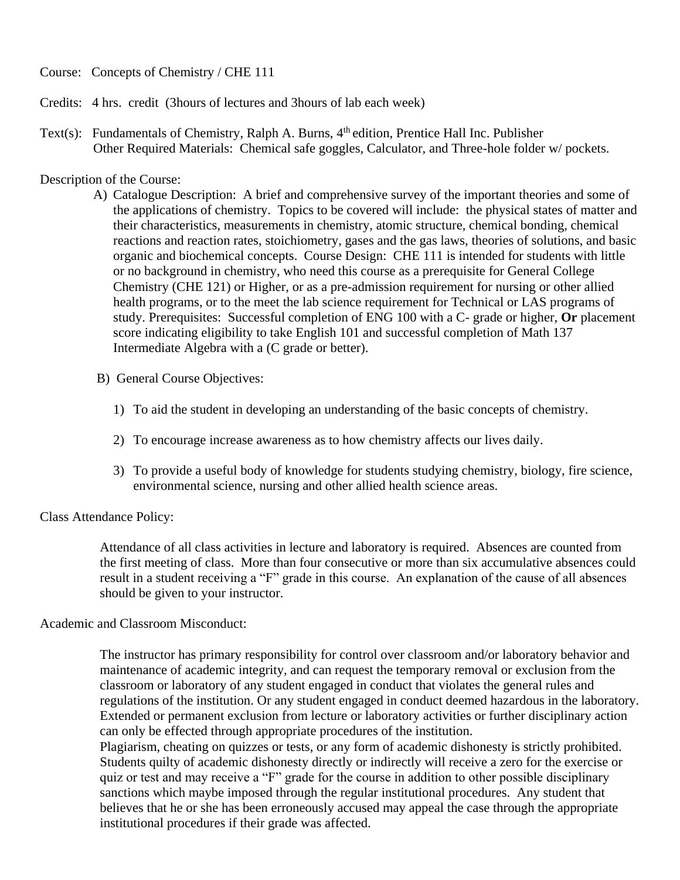Course: Concepts of Chemistry / CHE 111

- Credits: 4 hrs. credit (3hours of lectures and 3hours of lab each week)
- Text(s): Fundamentals of Chemistry, Ralph A. Burns,  $4<sup>th</sup>$  edition, Prentice Hall Inc. Publisher Other Required Materials: Chemical safe goggles, Calculator, and Three-hole folder w/ pockets.

## Description of the Course:

- A) Catalogue Description: A brief and comprehensive survey of the important theories and some of the applications of chemistry. Topics to be covered will include: the physical states of matter and their characteristics, measurements in chemistry, atomic structure, chemical bonding, chemical reactions and reaction rates, stoichiometry, gases and the gas laws, theories of solutions, and basic organic and biochemical concepts. Course Design: CHE 111 is intended for students with little or no background in chemistry, who need this course as a prerequisite for General College Chemistry (CHE 121) or Higher, or as a pre-admission requirement for nursing or other allied health programs, or to the meet the lab science requirement for Technical or LAS programs of study. Prerequisites: Successful completion of ENG 100 with a C- grade or higher, **Or** placement score indicating eligibility to take English 101 and successful completion of Math 137 Intermediate Algebra with a (C grade or better).
- B) General Course Objectives:
	- 1) To aid the student in developing an understanding of the basic concepts of chemistry.
	- 2) To encourage increase awareness as to how chemistry affects our lives daily.
	- 3) To provide a useful body of knowledge for students studying chemistry, biology, fire science, environmental science, nursing and other allied health science areas.

# Class Attendance Policy:

 Attendance of all class activities in lecture and laboratory is required. Absences are counted from the first meeting of class. More than four consecutive or more than six accumulative absences could result in a student receiving a "F" grade in this course. An explanation of the cause of all absences should be given to your instructor.

#### Academic and Classroom Misconduct:

 The instructor has primary responsibility for control over classroom and/or laboratory behavior and maintenance of academic integrity, and can request the temporary removal or exclusion from the classroom or laboratory of any student engaged in conduct that violates the general rules and regulations of the institution. Or any student engaged in conduct deemed hazardous in the laboratory. Extended or permanent exclusion from lecture or laboratory activities or further disciplinary action can only be effected through appropriate procedures of the institution.

 Plagiarism, cheating on quizzes or tests, or any form of academic dishonesty is strictly prohibited. Students quilty of academic dishonesty directly or indirectly will receive a zero for the exercise or quiz or test and may receive a "F" grade for the course in addition to other possible disciplinary sanctions which maybe imposed through the regular institutional procedures. Any student that believes that he or she has been erroneously accused may appeal the case through the appropriate institutional procedures if their grade was affected.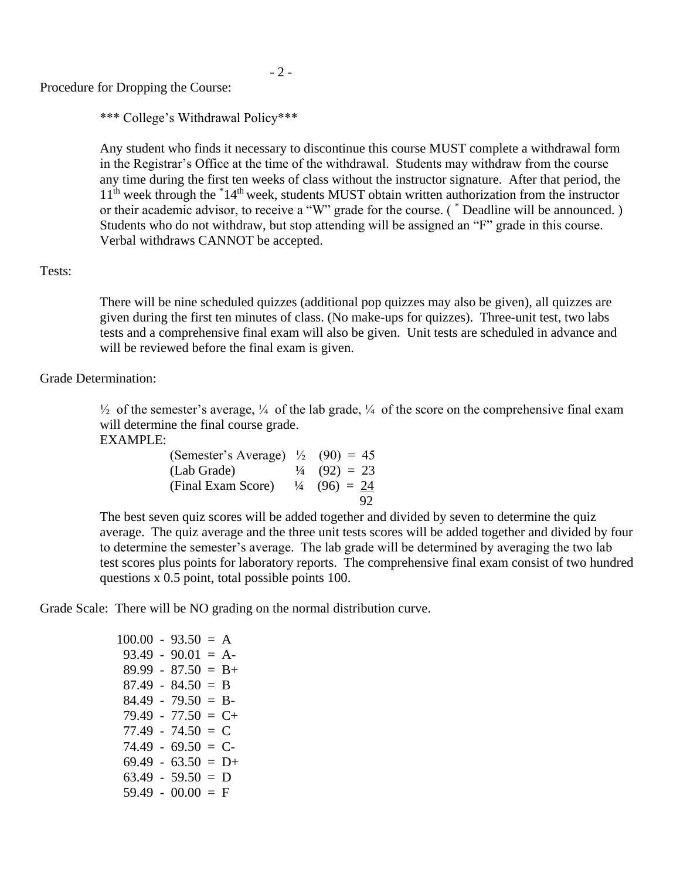Procedure for Dropping the Course:

\*\*\* College's Withdrawal Policy\*\*\*

 Any student who finds it necessary to discontinue this course MUST complete a withdrawal form in the Registrar's Office at the time of the withdrawal. Students may withdraw from the course any time during the first ten weeks of class without the instructor signature. After that period, the 11<sup>th</sup> week through the \*14<sup>th</sup> week, students MUST obtain written authorization from the instructor or their academic advisor, to receive a "W" grade for the course. ( \* Deadline will be announced. ) Students who do not withdraw, but stop attending will be assigned an "F" grade in this course. Verbal withdraws CANNOT be accepted.

# Tests:

 There will be nine scheduled quizzes (additional pop quizzes may also be given), all quizzes are given during the first ten minutes of class. (No make-ups for quizzes). Three-unit test, two labs tests and a comprehensive final exam will also be given. Unit tests are scheduled in advance and will be reviewed before the final exam is given.

Grade Determination:

 $\frac{1}{2}$  of the semester's average,  $\frac{1}{4}$  of the lab grade,  $\frac{1}{4}$  of the score on the comprehensive final exam will determine the final course grade.

EXAMPLE:

| (Semester's Average) $\frac{1}{2}$ (90) = 45 |                         |
|----------------------------------------------|-------------------------|
| (Lab Grade)                                  | $\frac{1}{4}$ (92) = 23 |
| (Final Exam Score) $\frac{1}{4}$ (96) = 24   |                         |
|                                              | 92                      |

 The best seven quiz scores will be added together and divided by seven to determine the quiz average. The quiz average and the three unit tests scores will be added together and divided by four to determine the semester's average. The lab grade will be determined by averaging the two lab test scores plus points for laboratory reports. The comprehensive final exam consist of two hundred questions x 0.5 point, total possible points 100.

Grade Scale: There will be NO grading on the normal distribution curve.

| $100.00 - 93.50 = A$ |                       |  |
|----------------------|-----------------------|--|
|                      | $93.49 - 90.01 = A$   |  |
|                      | $89.99 - 87.50 = B +$ |  |
|                      | $87.49 - 84.50 = B$   |  |
|                      | $84.49 - 79.50 = B$   |  |
|                      | $79.49 - 77.50 = C +$ |  |
|                      | $77.49 - 74.50 = C$   |  |
|                      | $74.49 - 69.50 = C$   |  |
|                      | $69.49 - 63.50 = D+$  |  |
|                      | $63.49 - 59.50 = D$   |  |
|                      | $59.49 - 00.00 = F$   |  |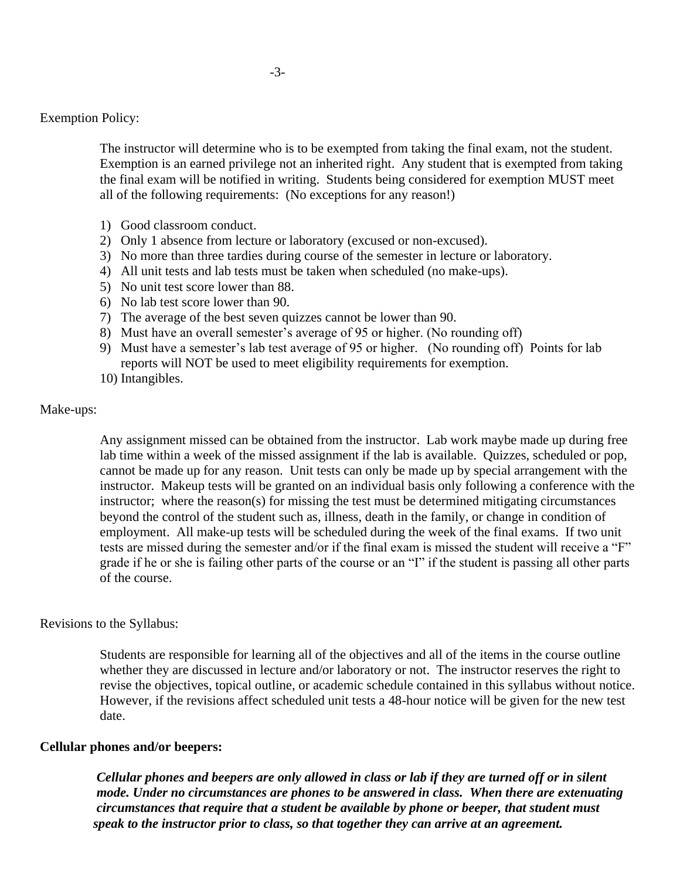The instructor will determine who is to be exempted from taking the final exam, not the student. Exemption is an earned privilege not an inherited right. Any student that is exempted from taking the final exam will be notified in writing. Students being considered for exemption MUST meet all of the following requirements: (No exceptions for any reason!)

- 1) Good classroom conduct.
- 2) Only 1 absence from lecture or laboratory (excused or non-excused).
- 3) No more than three tardies during course of the semester in lecture or laboratory.
- 4) All unit tests and lab tests must be taken when scheduled (no make-ups).
- 5) No unit test score lower than 88.
- 6) No lab test score lower than 90.
- 7) The average of the best seven quizzes cannot be lower than 90.
- 8) Must have an overall semester's average of 95 or higher. (No rounding off)
- 9) Must have a semester's lab test average of 95 or higher. (No rounding off) Points for lab reports will NOT be used to meet eligibility requirements for exemption.
- 10) Intangibles.

## Make-ups:

 Any assignment missed can be obtained from the instructor. Lab work maybe made up during free lab time within a week of the missed assignment if the lab is available. Quizzes, scheduled or pop, cannot be made up for any reason. Unit tests can only be made up by special arrangement with the instructor. Makeup tests will be granted on an individual basis only following a conference with the instructor; where the reason(s) for missing the test must be determined mitigating circumstances beyond the control of the student such as, illness, death in the family, or change in condition of employment. All make-up tests will be scheduled during the week of the final exams. If two unit tests are missed during the semester and/or if the final exam is missed the student will receive a "F" grade if he or she is failing other parts of the course or an "I" if the student is passing all other parts of the course.

#### Revisions to the Syllabus:

 Students are responsible for learning all of the objectives and all of the items in the course outline whether they are discussed in lecture and/or laboratory or not. The instructor reserves the right to revise the objectives, topical outline, or academic schedule contained in this syllabus without notice. However, if the revisions affect scheduled unit tests a 48-hour notice will be given for the new test date.

# **Cellular phones and/or beepers:**

 *Cellular phones and beepers are only allowed in class or lab if they are turned off or in silent mode. Under no circumstances are phones to be answered in class. When there are extenuating circumstances that require that a student be available by phone or beeper, that student must speak to the instructor prior to class, so that together they can arrive at an agreement.*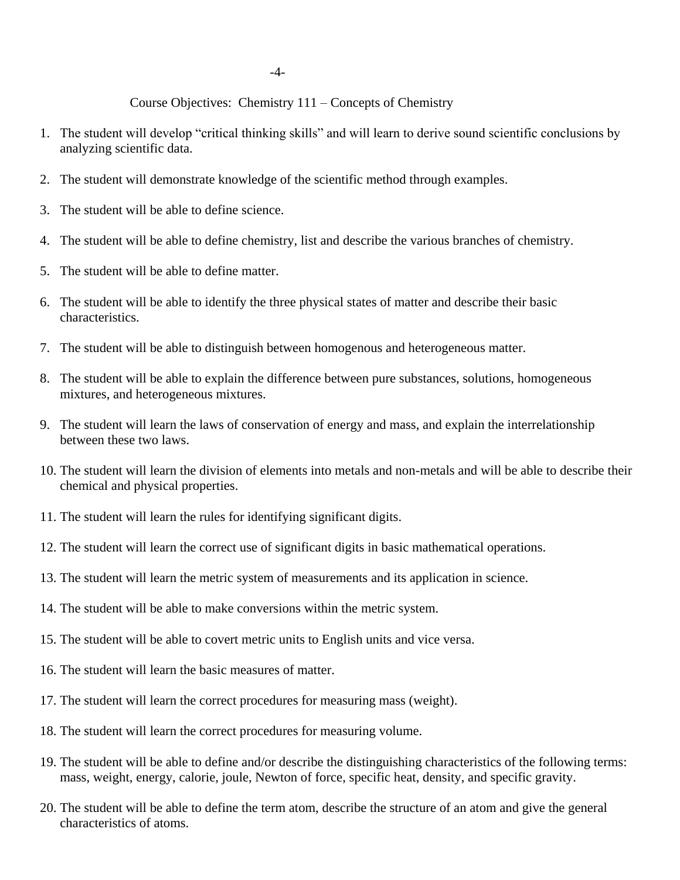Course Objectives: Chemistry 111 – Concepts of Chemistry

- 1. The student will develop "critical thinking skills" and will learn to derive sound scientific conclusions by analyzing scientific data.
- 2. The student will demonstrate knowledge of the scientific method through examples.
- 3. The student will be able to define science.
- 4. The student will be able to define chemistry, list and describe the various branches of chemistry.
- 5. The student will be able to define matter.
- 6. The student will be able to identify the three physical states of matter and describe their basic characteristics.
- 7. The student will be able to distinguish between homogenous and heterogeneous matter.
- 8. The student will be able to explain the difference between pure substances, solutions, homogeneous mixtures, and heterogeneous mixtures.
- 9. The student will learn the laws of conservation of energy and mass, and explain the interrelationship between these two laws.
- 10. The student will learn the division of elements into metals and non-metals and will be able to describe their chemical and physical properties.
- 11. The student will learn the rules for identifying significant digits.
- 12. The student will learn the correct use of significant digits in basic mathematical operations.
- 13. The student will learn the metric system of measurements and its application in science.
- 14. The student will be able to make conversions within the metric system.
- 15. The student will be able to covert metric units to English units and vice versa.
- 16. The student will learn the basic measures of matter.
- 17. The student will learn the correct procedures for measuring mass (weight).
- 18. The student will learn the correct procedures for measuring volume.
- 19. The student will be able to define and/or describe the distinguishing characteristics of the following terms: mass, weight, energy, calorie, joule, Newton of force, specific heat, density, and specific gravity.
- 20. The student will be able to define the term atom, describe the structure of an atom and give the general characteristics of atoms.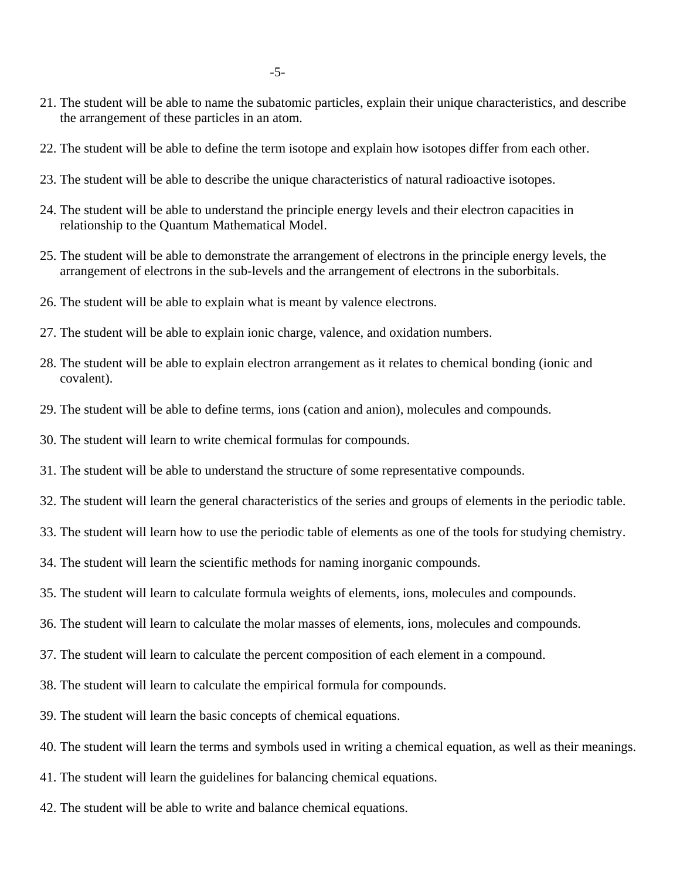- 21. The student will be able to name the subatomic particles, explain their unique characteristics, and describe the arrangement of these particles in an atom.
- 22. The student will be able to define the term isotope and explain how isotopes differ from each other.
- 23. The student will be able to describe the unique characteristics of natural radioactive isotopes.
- 24. The student will be able to understand the principle energy levels and their electron capacities in relationship to the Quantum Mathematical Model.
- 25. The student will be able to demonstrate the arrangement of electrons in the principle energy levels, the arrangement of electrons in the sub-levels and the arrangement of electrons in the suborbitals.
- 26. The student will be able to explain what is meant by valence electrons.
- 27. The student will be able to explain ionic charge, valence, and oxidation numbers.
- 28. The student will be able to explain electron arrangement as it relates to chemical bonding (ionic and covalent).
- 29. The student will be able to define terms, ions (cation and anion), molecules and compounds.
- 30. The student will learn to write chemical formulas for compounds.
- 31. The student will be able to understand the structure of some representative compounds.
- 32. The student will learn the general characteristics of the series and groups of elements in the periodic table.
- 33. The student will learn how to use the periodic table of elements as one of the tools for studying chemistry.
- 34. The student will learn the scientific methods for naming inorganic compounds.
- 35. The student will learn to calculate formula weights of elements, ions, molecules and compounds.
- 36. The student will learn to calculate the molar masses of elements, ions, molecules and compounds.
- 37. The student will learn to calculate the percent composition of each element in a compound.
- 38. The student will learn to calculate the empirical formula for compounds.
- 39. The student will learn the basic concepts of chemical equations.
- 40. The student will learn the terms and symbols used in writing a chemical equation, as well as their meanings.
- 41. The student will learn the guidelines for balancing chemical equations.
- 42. The student will be able to write and balance chemical equations.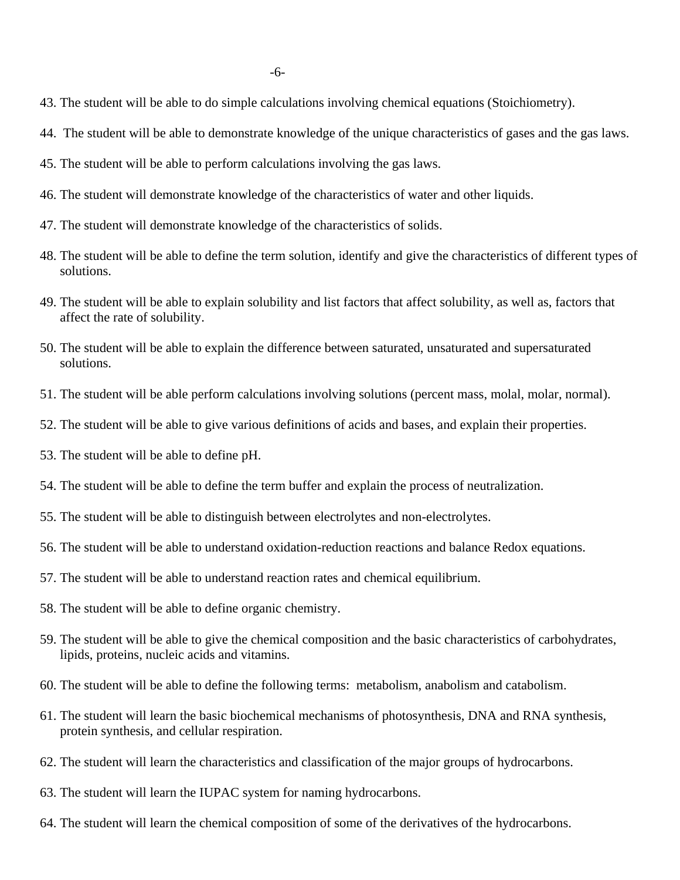- 43. The student will be able to do simple calculations involving chemical equations (Stoichiometry).
- 44. The student will be able to demonstrate knowledge of the unique characteristics of gases and the gas laws.
- 45. The student will be able to perform calculations involving the gas laws.
- 46. The student will demonstrate knowledge of the characteristics of water and other liquids.
- 47. The student will demonstrate knowledge of the characteristics of solids.
- 48. The student will be able to define the term solution, identify and give the characteristics of different types of solutions.
- 49. The student will be able to explain solubility and list factors that affect solubility, as well as, factors that affect the rate of solubility.
- 50. The student will be able to explain the difference between saturated, unsaturated and supersaturated solutions.
- 51. The student will be able perform calculations involving solutions (percent mass, molal, molar, normal).
- 52. The student will be able to give various definitions of acids and bases, and explain their properties.
- 53. The student will be able to define pH.
- 54. The student will be able to define the term buffer and explain the process of neutralization.
- 55. The student will be able to distinguish between electrolytes and non-electrolytes.
- 56. The student will be able to understand oxidation-reduction reactions and balance Redox equations.
- 57. The student will be able to understand reaction rates and chemical equilibrium.
- 58. The student will be able to define organic chemistry.
- 59. The student will be able to give the chemical composition and the basic characteristics of carbohydrates, lipids, proteins, nucleic acids and vitamins.
- 60. The student will be able to define the following terms: metabolism, anabolism and catabolism.
- 61. The student will learn the basic biochemical mechanisms of photosynthesis, DNA and RNA synthesis, protein synthesis, and cellular respiration.
- 62. The student will learn the characteristics and classification of the major groups of hydrocarbons.
- 63. The student will learn the IUPAC system for naming hydrocarbons.
- 64. The student will learn the chemical composition of some of the derivatives of the hydrocarbons.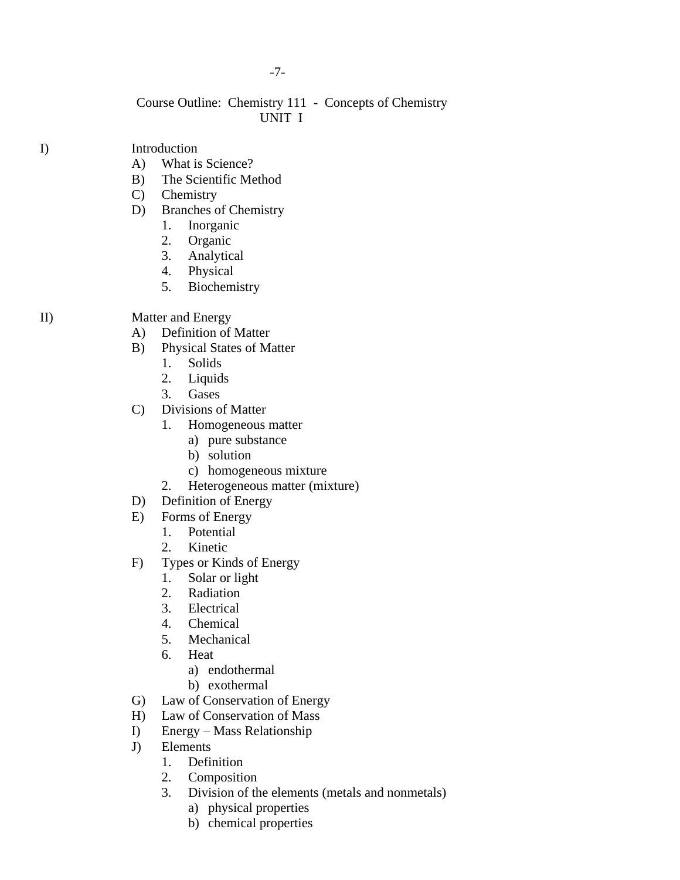## -7-

# Course Outline: Chemistry 111 - Concepts of Chemistry UNIT I

# I) Introduction

- A) What is Science?
- B) The Scientific Method
- C) Chemistry
- D) Branches of Chemistry
	- 1. Inorganic
	- 2. Organic
	- 3. Analytical
	- 4. Physical
	- 5. Biochemistry

# II) Matter and Energy

- A) Definition of Matter
- B) Physical States of Matter
	- 1. Solids
	- 2. Liquids
	- 3. Gases
- C) Divisions of Matter
	- 1. Homogeneous matter
		- a) pure substance
		- b) solution
		- c) homogeneous mixture
	- 2. Heterogeneous matter (mixture)
- D) Definition of Energy
- E) Forms of Energy
	- 1. Potential
	- 2. Kinetic
- F) Types or Kinds of Energy
	- 1. Solar or light
	- 2. Radiation
	- 3. Electrical
	- 4. Chemical
	- 5. Mechanical
	- 6. Heat
		- a) endothermal
		- b) exothermal
- G) Law of Conservation of Energy
- H) Law of Conservation of Mass
- I) Energy Mass Relationship
- J) Elements
	- 1. Definition
	- 2. Composition
	- 3. Division of the elements (metals and nonmetals)
		- a) physical properties
		- b) chemical properties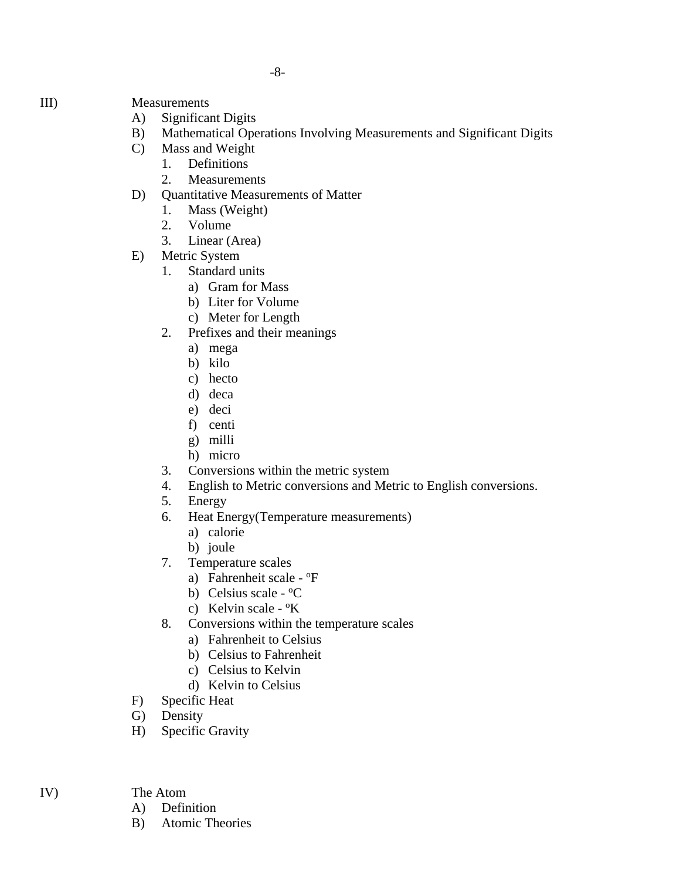- III) Measurements
	- A) Significant Digits
	- B) Mathematical Operations Involving Measurements and Significant Digits
	- C) Mass and Weight
		- 1. Definitions
		- 2. Measurements
	- D) Quantitative Measurements of Matter
		- 1. Mass (Weight)
		- 2. Volume
		- 3. Linear (Area)
	- E) Metric System
		- 1. Standard units
			- a) Gram for Mass
			- b) Liter for Volume
			- c) Meter for Length
		- 2. Prefixes and their meanings
			- a) mega
			- b) kilo
			- c) hecto
			- d) deca
			- e) deci
			- f) centi
			- g) milli
			- h) micro
		- 3. Conversions within the metric system
		- 4. English to Metric conversions and Metric to English conversions.
		- 5. Energy
		- 6. Heat Energy(Temperature measurements)
			- a) calorie
			- b) joule
		- 7. Temperature scales
			- a) Fahrenheit scale <sup>o</sup>F
			- b) Celsius scale  $^{\circ}$ C
			- c) Kelvin scale <sup>o</sup>K
		- 8. Conversions within the temperature scales
			- a) Fahrenheit to Celsius
			- b) Celsius to Fahrenheit
			- c) Celsius to Kelvin
			- d) Kelvin to Celsius
	- F) Specific Heat
	- G) Density
	- H) Specific Gravity
- IV) The Atom
	- A) Definition
	- B) Atomic Theories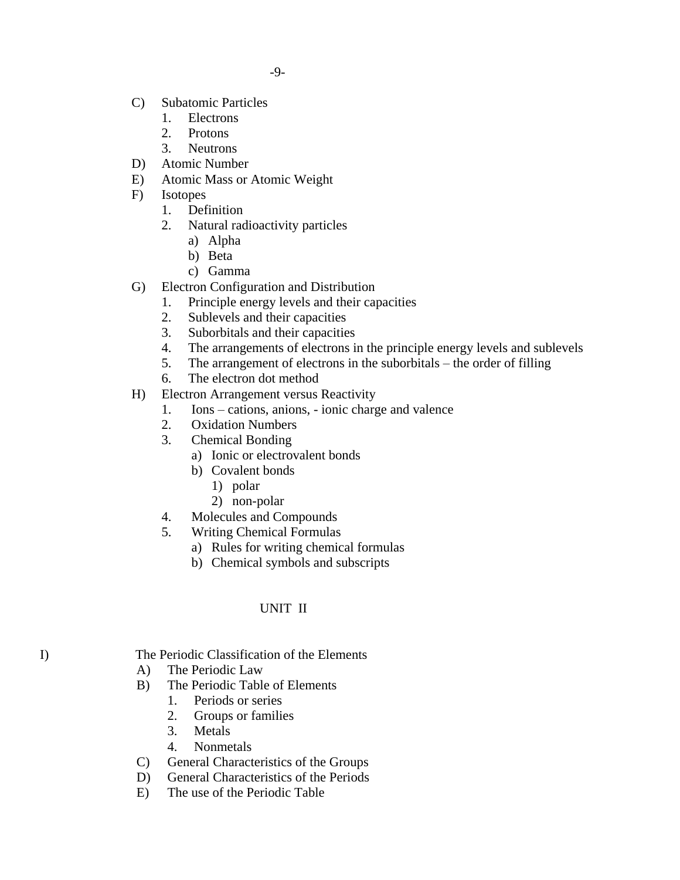-9-

- C) Subatomic Particles
	- 1. Electrons
	- 2. Protons
	- 3. Neutrons
- D) Atomic Number
- E) Atomic Mass or Atomic Weight
- F) Isotopes
	- 1. Definition
	- 2. Natural radioactivity particles
		- a) Alpha
		- b) Beta
		- c) Gamma
- G) Electron Configuration and Distribution
	- 1. Principle energy levels and their capacities
	- 2. Sublevels and their capacities
	- 3. Suborbitals and their capacities
	- 4. The arrangements of electrons in the principle energy levels and sublevels
	- 5. The arrangement of electrons in the suborbitals the order of filling
	- 6. The electron dot method
- H) Electron Arrangement versus Reactivity
	- 1. Ions cations, anions, ionic charge and valence
	- 2. Oxidation Numbers
	- 3. Chemical Bonding
		- a) Ionic or electrovalent bonds
		- b) Covalent bonds
			- 1) polar
			- 2) non-polar
	- 4. Molecules and Compounds
	- 5. Writing Chemical Formulas
		- a) Rules for writing chemical formulas
		- b) Chemical symbols and subscripts

# UNIT II

I) The Periodic Classification of the Elements

- A) The Periodic Law
- B) The Periodic Table of Elements
	- 1. Periods or series
	- 2. Groups or families
	- 3. Metals
	- 4. Nonmetals
- C) General Characteristics of the Groups
- D) General Characteristics of the Periods
- E) The use of the Periodic Table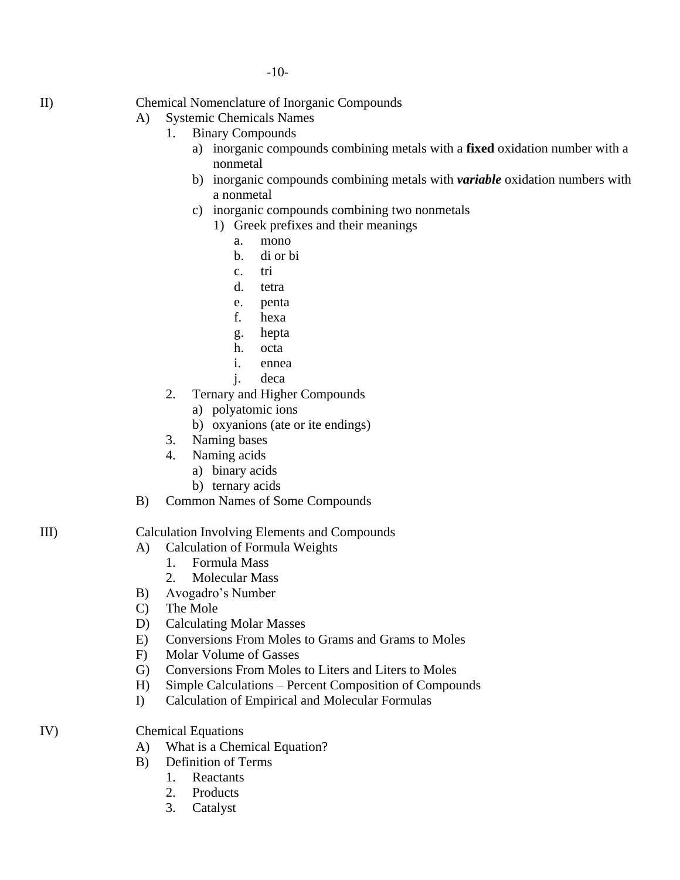II) Chemical Nomenclature of Inorganic Compounds

# A) Systemic Chemicals Names

- 1. Binary Compounds
	- a) inorganic compounds combining metals with a **fixed** oxidation number with a nonmetal
	- b) inorganic compounds combining metals with *variable* oxidation numbers with a nonmetal
	- c) inorganic compounds combining two nonmetals
		- 1) Greek prefixes and their meanings
			- a. mono
			- b. di or bi
			- c. tri
			- d. tetra
			- e. penta
			- f. hexa
			- g. hepta
			- h. octa
			- i. ennea
			- j. deca
- 2. Ternary and Higher Compounds
	- a) polyatomic ions
	- b) oxyanions (ate or ite endings)
- 3. Naming bases
- 4. Naming acids
	- a) binary acids
	- b) ternary acids
- B) Common Names of Some Compounds

# III) Calculation Involving Elements and Compounds

- A) Calculation of Formula Weights
	- 1. Formula Mass
	- 2. Molecular Mass
- B) Avogadro's Number
- C) The Mole
- D) Calculating Molar Masses
- E) Conversions From Moles to Grams and Grams to Moles
- F) Molar Volume of Gasses
- G) Conversions From Moles to Liters and Liters to Moles
- H) Simple Calculations Percent Composition of Compounds
- I) Calculation of Empirical and Molecular Formulas
- IV) Chemical Equations
	- A) What is a Chemical Equation?
	- B) Definition of Terms
		- 1. Reactants
		- 2. Products
		- 3. Catalyst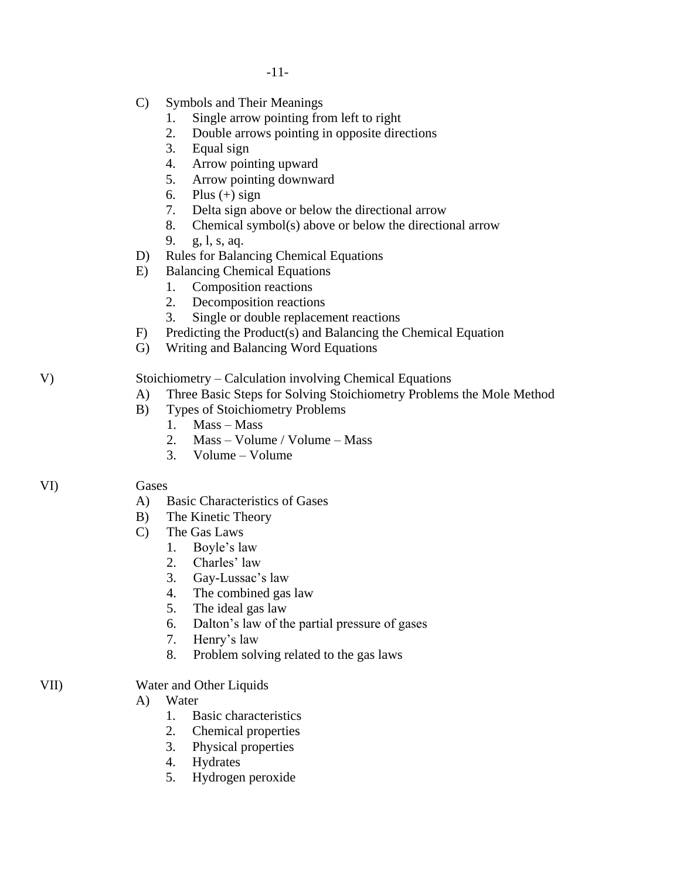- -11-
	- C) Symbols and Their Meanings
		- 1. Single arrow pointing from left to right
		- 2. Double arrows pointing in opposite directions
		- 3. Equal sign
		- 4. Arrow pointing upward
		- 5. Arrow pointing downward
		- 6. Plus  $(+)$  sign
		- 7. Delta sign above or below the directional arrow
		- 8. Chemical symbol(s) above or below the directional arrow
		- 9. g, l, s, aq.
	- D) Rules for Balancing Chemical Equations
	- E) Balancing Chemical Equations
		- 1. Composition reactions
		- 2. Decomposition reactions
		- 3. Single or double replacement reactions
	- F) Predicting the Product(s) and Balancing the Chemical Equation
	- G) Writing and Balancing Word Equations

V) Stoichiometry – Calculation involving Chemical Equations

- A) Three Basic Steps for Solving Stoichiometry Problems the Mole Method
- B) Types of Stoichiometry Problems
	- 1. Mass Mass
	- 2. Mass Volume / Volume Mass
	- 3. Volume Volume

# VI) Gases

- A) Basic Characteristics of Gases
- B) The Kinetic Theory
- C) The Gas Laws
	- 1. Boyle's law
	- 2. Charles' law
	- 3. Gay-Lussac's law
	- 4. The combined gas law
	- 5. The ideal gas law
	- 6. Dalton's law of the partial pressure of gases
	- 7. Henry's law
	- 8. Problem solving related to the gas laws
- VII) Water and Other Liquids
	- A) Water
		- 1. Basic characteristics
		- 2. Chemical properties
		- 3. Physical properties
		- 4. Hydrates
		- 5. Hydrogen peroxide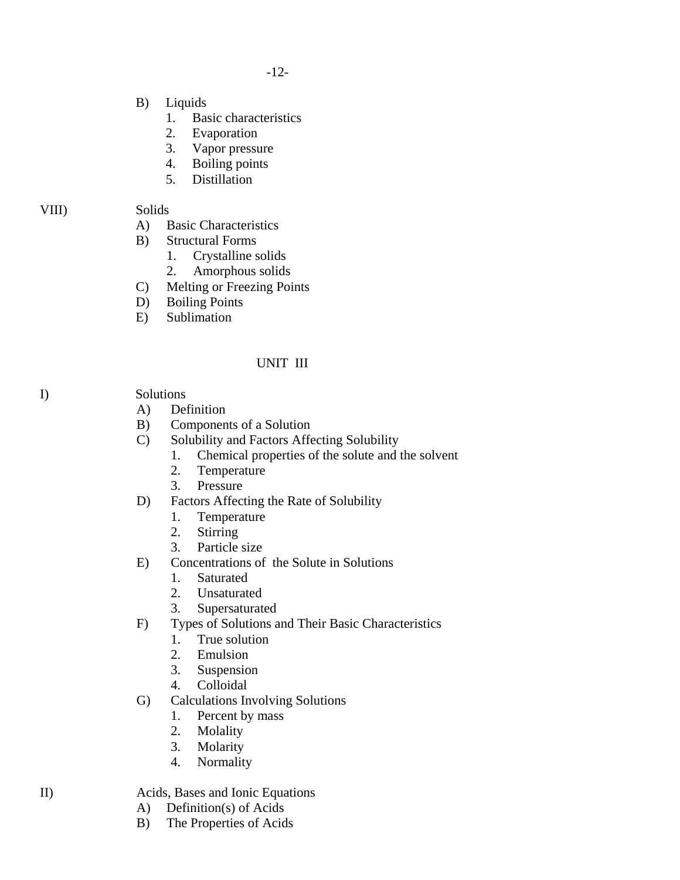-12-

- B) Liquids
	- 1. Basic characteristics
	- 2. Evaporation
	- 3. Vapor pressure
	- 4. Boiling points
	- 5. Distillation

# VIII) Solids

- A) Basic Characteristics
- B) Structural Forms
	- 1. Crystalline solids
	- 2. Amorphous solids
- C) Melting or Freezing Points
- D) Boiling Points
- E) Sublimation

# UNIT III

I) Solutions

- A) Definition
- B) Components of a Solution
- C) Solubility and Factors Affecting Solubility
	- 1. Chemical properties of the solute and the solvent
	- 2. Temperature
	- 3. Pressure
- D) Factors Affecting the Rate of Solubility
	- 1. Temperature
	- 2. Stirring
	- 3. Particle size
- E) Concentrations of the Solute in Solutions
	- 1. Saturated
	- 2. Unsaturated
	- 3. Supersaturated
- F) Types of Solutions and Their Basic Characteristics
	- 1. True solution
	- 2. Emulsion
	- 3. Suspension
	- 4. Colloidal
- G) Calculations Involving Solutions
	- 1. Percent by mass
	- 2. Molality
	- 3. Molarity
	- 4. Normality

# II) Acids, Bases and Ionic Equations

- A) Definition(s) of Acids
- B) The Properties of Acids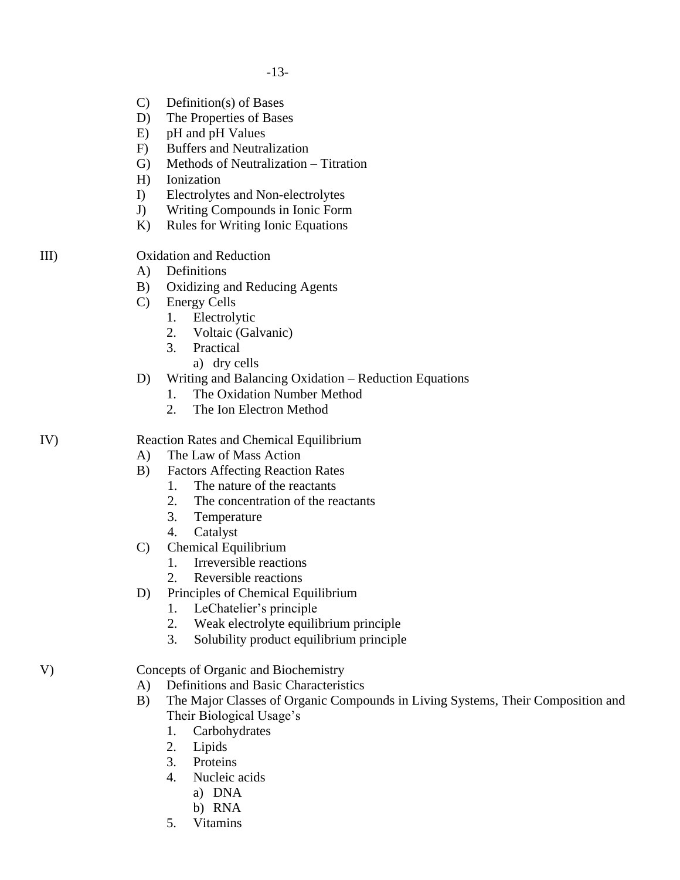- C) Definition(s) of Bases
- D) The Properties of Bases
- E) pH and pH Values
- F) Buffers and Neutralization
- G) Methods of Neutralization Titration
- H) Ionization
- I) Electrolytes and Non-electrolytes
- J) Writing Compounds in Ionic Form
- K) Rules for Writing Ionic Equations

III) Oxidation and Reduction

- A) Definitions
- B) Oxidizing and Reducing Agents
- C) Energy Cells
	- 1. Electrolytic
	- 2. Voltaic (Galvanic)
	- 3. Practical
		- a) dry cells
- D) Writing and Balancing Oxidation Reduction Equations
	- 1. The Oxidation Number Method
	- 2. The Ion Electron Method

## IV) Reaction Rates and Chemical Equilibrium

- A) The Law of Mass Action
- B) Factors Affecting Reaction Rates
	- 1. The nature of the reactants
	- 2. The concentration of the reactants
	- 3. Temperature
	- 4. Catalyst
- C) Chemical Equilibrium
	- 1. Irreversible reactions
	- 2. Reversible reactions
- D) Principles of Chemical Equilibrium
	- 1. LeChatelier's principle
	- 2. Weak electrolyte equilibrium principle
	- 3. Solubility product equilibrium principle

V) Concepts of Organic and Biochemistry

- A) Definitions and Basic Characteristics
- B) The Major Classes of Organic Compounds in Living Systems, Their Composition and Their Biological Usage's
	- 1. Carbohydrates
	- 2. Lipids
	- 3. Proteins
	- 4. Nucleic acids
		- a) DNA
		- b) RNA
	- 5. Vitamins